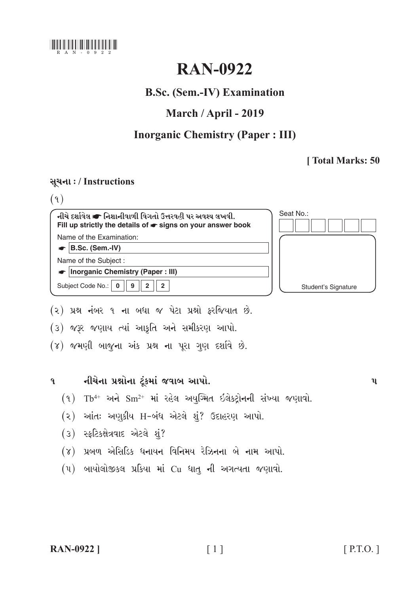

# **RAN-0922**

## **B.Sc. (Sem.-IV) Examination**

## March / April - 2019

### **Inorganic Chemistry (Paper: III)**

### [Total Marks: 50

### સચના: / Instructions

 $(9)$ 

| નીચે દર્શાવેલ σ નિશાનીવાળી વિગતો ઉત્તરવહી પર અવશ્ય લખવી.<br>Fill up strictly the details of $\bullet$ signs on your answer book | Seat No.:           |
|---------------------------------------------------------------------------------------------------------------------------------|---------------------|
| Name of the Examination:                                                                                                        |                     |
| B.Sc. (Sem.-IV)                                                                                                                 |                     |
| Name of the Subject:                                                                                                            |                     |
| <b>Inorganic Chemistry (Paper: III)</b>                                                                                         |                     |
| Subject Code No.:<br>$\overline{2}$<br>9                                                                                        | Student's Signature |
|                                                                                                                                 |                     |

- (૨) પ્રશ્ન નંબર ૧ ના બધા જ પેટા પ્રશ્નો ફરજિયાત છે.
- (3) જરૂર જણાય ત્યાં આકૃતિ અને સમીકરણ આપો.
- (४) જમણી બાજુના અંક પ્રશ્ન ના પૂરા ગણ દર્શાવે છે.

#### નીચેના પ્રશ્નોના ટૂંકમાં જવાબ આપો.  $\mathbf{q}$

- $(9)$  Tb<sup>4+</sup> અને Sm<sup>2+</sup> માં રહેલ અયુગ્મિત ઇલેકટ્રોનની સંખ્યા જણાવો.
- (૨) આંતઃ અણુકીય H-બંધ એટલે શું? ઉદાહરણ આપો.
- (3) સ્ફટિકક્ષેત્રવાદ એટલે શું?
- (૪) પ્રબળ એસિડિક ધનાયન વિનિમય રેઝિનના બે નામ આપો.
- (૫) બાયોલોજીકલ પ્રકિયા માં Cu ધાતુ ની અગત્યતા જણાવો.

 $\mathbf{u}$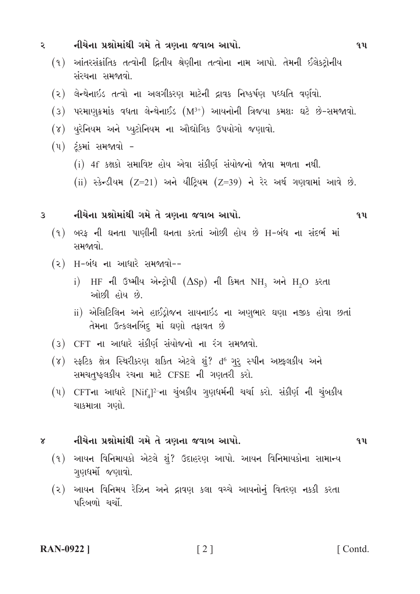નીચેના પ્રશ્નોમાંથી ગમે તે ત્રણના જવાબ આપો.  $\mathbf{z}$  $9<sub>u</sub>$ (૧) આંતરસંક્રાંતિક તત્વોની દ્વિતીય શ્રેણીના તત્વોના નામ આપો. તેમની ઈલેક્ટ્રોનીય સંસ્થના સમજાવો (૨) લેન્થેનાઇડ તત્વો ના અલગીકરણ માટેની દ્રાવક નિષ્કર્ષણ પધ્ધતિ વર્ણવો.  $(3)$  પરમાણુક્રમાંક વધતા લેન્થેનાઈડ  $(M^{3+})$  આયનોની ત્રિજયા કમશઃ ઘટે છે-સમજાવો. (૪) યુરેનિયમ અને પ્યુટોનિયમ ના ઔદ્યોગિક ઉપયોગો જણાવો. (૫) ટુંકમાં સમજાવો -(i) 4f કક્ષકો સમાવિષ્ટ હોય એવા સંકીર્ણ સંયોજનો જોવા મળતા નથી. (ii) સ્કેન્ડીયમ (Z=21) અને યીટિયમ (Z=39) ને રેર અર્થ ગણવામાં આવે છે. નીચેના પ્રશ્નોમાંથી ગમે તે ત્રણના જવાબ આપો.  $\overline{3}$  $q\mathbf{u}$  $(9)$  બરફ ની ઘનતા પાણીની ઘનતા કરતાં ઓછી હોય છે H-બંધ ના સંદર્ભ માં સમજાવો  $(2)$  H-બંધ ના આધારે સમજાવો-i) HF ની ઉષ્મીય એન્ટ્રોપી  $(\Delta Sp)$  ની કિમત NH, અને H2O કરતા ઓછી હોય છે. ii) એસિટિલિન અને હાઈડ્રોજન સાયનાઇડ ના અણુભાર ઘણા નજીક હોવા છતાં તેમના ઉત્કલનબિંદ્દ માં ઘણો તફાવત છે (3) CFT ના આધારે સંકીર્ણ સંયોજનો ના રંગ સમજાવો. (૪) સ્ફટિક ક્ષેત્ર સ્થિરીકરણ શકિત એટલે શું? d<sup>6</sup> ગુરૂ સ્પીન અષ્ટફલકીય અને સમચતુષ્ફલકીય રચના માટે CFSE ની ગણતરી કરો.  $(4)$  CFTના આધારે  $[Nif_a]^2$ ના ચુંબકીય ગુણધર્મની ચર્ચા કરો. સંકીર્ણ ની ચુંબકીય ચાકમાત્રા ગણો. નીચેના પ્રશ્નોમાંથી ગમે તે ત્રણના જવાબ આપો.  $9<sub>u</sub>$  $\gamma$ (૧) આયન વિનિમાયકો એટલે શું? ઉદાહરણ આપો. આયન વિનિમાયકોના સામાન્ય ગુણધર્મો જણાવો. આયન વિનિમય રેઝિન અને દ્રાવણ કલા વચ્ચે આયનોનું વિતરણ નકકી કરતા  $(5)$ 

પરિબળો ચર્ચો

**RAN-0922** 1

 $\lceil 2 \rceil$ 

[Contd.]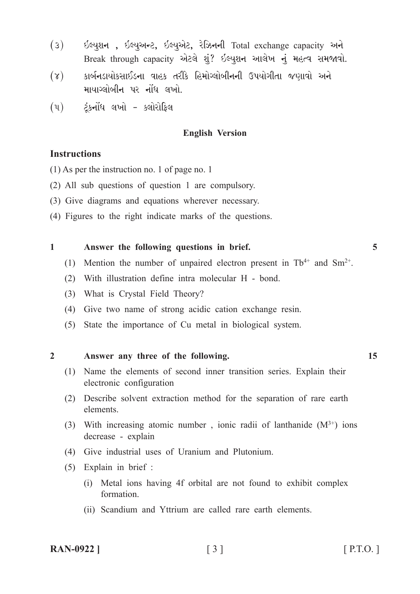- $(3)$  ઈલ્યુશન, ઈલ્યુઅન્ટ, ઈલ્યુએટ, રેઝિનની Total exchange capacity અને Break through capacity એટલે શું? ઈલ્યુશન આલેખ નું મહત્વ સમજાવો.
- $(7)$  કાર્બનડાયોકસાઈડના વાહક તરીકે હિમોગ્લોબીનની ઉપયોગીતા જણાવો અને માયાગ્લોબીન પર નોંધ લખો.
- $(4)$  ટંકનોંધ લખો ક્લોરોકિલ

#### **English Version**

#### **Instructions**

(1) As per the instruction no. 1 of page no. 1

- (2) All sub questions of question 1 are compulsory.
- (3) Give diagrams and equations wherever necessary.
- (4) Figures to the right indicate marks of the questions.

#### **1 Answer the following questions in brief. 5**

- (1) Mention the number of unpaired electron present in  $Tb^{4+}$  and  $Sm^{2+}$ .
- (2) With illustration define intra molecular H bond.
- (3) What is Crystal Field Theory?
- (4) Give two name of strong acidic cation exchange resin.
- (5) State the importance of Cu metal in biological system.

#### **2 Answer any three of the following. 15**

- (1) Name the elements of second inner transition series. Explain their electronic configuration
- (2) Describe solvent extraction method for the separation of rare earth elements.
- (3) With increasing atomic number, ionic radii of lanthanide  $(M^{3+})$  ions decrease - explain
- (4) Give industrial uses of Uranium and Plutonium.
- (5) Explain in brief :
	- (i) Metal ions having 4f orbital are not found to exhibit complex formation.
	- (ii) Scandium and Yttrium are called rare earth elements.